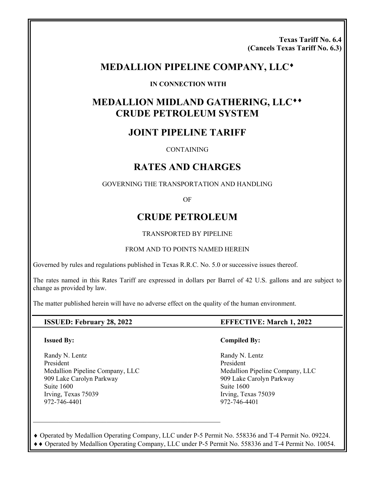**Texas Tariff No. 6.4 (Cancels Texas Tariff No. 6.3)** 

# **MEDALLION PIPELINE COMPANY, LLC**

#### **IN CONNECTION WITH**

# **MEDALLION MIDLAND GATHERING, LLC CRUDE PETROLEUM SYSTEM**

# **JOINT PIPELINE TARIFF**

**CONTAINING** 

# **RATES AND CHARGES**

GOVERNING THE TRANSPORTATION AND HANDLING

OF

# **CRUDE PETROLEUM**

TRANSPORTED BY PIPELINE

#### FROM AND TO POINTS NAMED HEREIN

Governed by rules and regulations published in Texas R.R.C. No. 5.0 or successive issues thereof.

The rates named in this Rates Tariff are expressed in dollars per Barrel of 42 U.S. gallons and are subject to change as provided by law.

The matter published herein will have no adverse effect on the quality of the human environment.

#### **Issued By:**

Randy N. Lentz President Medallion Pipeline Company, LLC 909 Lake Carolyn Parkway Suite 1600 Irving, Texas 75039 972-746-4401

### **ISSUED: February 28, 2022 EFFECTIVE: March 1, 2022**

#### **Compiled By:**

 Randy N. Lentz President Medallion Pipeline Company, LLC 909 Lake Carolyn Parkway Suite 1600 Irving, Texas 75039 972-746-4401

 Operated by Medallion Operating Company, LLC under P-5 Permit No. 558336 and T-4 Permit No. 09224. Operated by Medallion Operating Company, LLC under P-5 Permit No. 558336 and T-4 Permit No. 10054.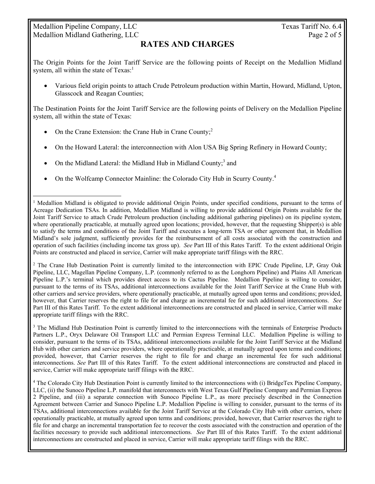## Medallion Pipeline Company, LLC Texas Tariff No. 6.4 Medallion Midland Gathering, LLC Page 2 of 5

 $\overline{a}$ 

## **RATES AND CHARGES**

The Origin Points for the Joint Tariff Service are the following points of Receipt on the Medallion Midland system, all within the state of  $Texas<sup>1</sup>$ .

 Various field origin points to attach Crude Petroleum production within Martin, Howard, Midland, Upton, Glasscock and Reagan Counties;

The Destination Points for the Joint Tariff Service are the following points of Delivery on the Medallion Pipeline system, all within the state of Texas:

- On the Crane Extension: the Crane Hub in Crane County; $^{2}$
- On the Howard Lateral: the interconnection with Alon USA Big Spring Refinery in Howard County;
- On the Midland Lateral: the Midland Hub in Midland County;<sup>3</sup> and
- On the Wolfcamp Connector Mainline: the Colorado City Hub in Scurry County.<sup>4</sup>

<sup>2</sup> The Crane Hub Destination Point is currently limited to the interconnection with EPIC Crude Pipeline, LP, Gray Oak Pipeline, LLC, Magellan Pipeline Company, L.P. (commonly referred to as the Longhorn Pipeline) and Plains All American Pipeline L.P.'s terminal which provides direct access to its Cactus Pipeline. Medallion Pipeline is willing to consider, pursuant to the terms of its TSAs, additional interconnections available for the Joint Tariff Service at the Crane Hub with other carriers and service providers, where operationally practicable, at mutually agreed upon terms and conditions; provided, however, that Carrier reserves the right to file for and charge an incremental fee for such additional interconnections. *See* Part III of this Rates Tariff. To the extent additional interconnections are constructed and placed in service, Carrier will make appropriate tariff filings with the RRC.

<sup>3</sup> The Midland Hub Destination Point is currently limited to the interconnections with the terminals of Enterprise Products Partners L.P., Oryx Delaware Oil Transport LLC and Permian Express Terminal LLC. Medallion Pipeline is willing to consider, pursuant to the terms of its TSAs, additional interconnections available for the Joint Tariff Service at the Midland Hub with other carriers and service providers, where operationally practicable, at mutually agreed upon terms and conditions; provided, however, that Carrier reserves the right to file for and charge an incremental fee for such additional interconnections. *See* Part III of this Rates Tariff. To the extent additional interconnections are constructed and placed in service, Carrier will make appropriate tariff filings with the RRC.

4 The Colorado City Hub Destination Point is currently limited to the interconnections with (i) BridgeTex Pipeline Company, LLC, (ii) the Sunoco Pipeline L.P. manifold that interconnects with West Texas Gulf Pipeline Company and Permian Express 2 Pipeline, and (iii) a separate connection with Sunoco Pipeline L.P., as more precisely described in the Connection Agreement between Carrier and Sunoco Pipeline L.P. Medallion Pipeline is willing to consider, pursuant to the terms of its TSAs, additional interconnections available for the Joint Tariff Service at the Colorado City Hub with other carriers, where operationally practicable, at mutually agreed upon terms and conditions; provided, however, that Carrier reserves the right to file for and charge an incremental transportation fee to recover the costs associated with the construction and operation of the facilities necessary to provide such additional interconnections. *See* Part III of this Rates Tariff. To the extent additional interconnections are constructed and placed in service, Carrier will make appropriate tariff filings with the RRC.

<sup>&</sup>lt;sup>1</sup> Medallion Midland is obligated to provide additional Origin Points, under specified conditions, pursuant to the terms of Acreage Dedication TSAs. In addition, Medallion Midland is willing to provide additional Origin Points available for the Joint Tariff Service to attach Crude Petroleum production (including additional gathering pipelines) on its pipeline system, where operationally practicable, at mutually agreed upon locations; provided, however, that the requesting Shipper(s) is able to satisfy the terms and conditions of the Joint Tariff and executes a long-term TSA or other agreement that, in Medallion Midland's sole judgment, sufficiently provides for the reimbursement of all costs associated with the construction and operation of such facilities (including income tax gross up). *See* Part III of this Rates Tariff. To the extent additional Origin Points are constructed and placed in service, Carrier will make appropriate tariff filings with the RRC.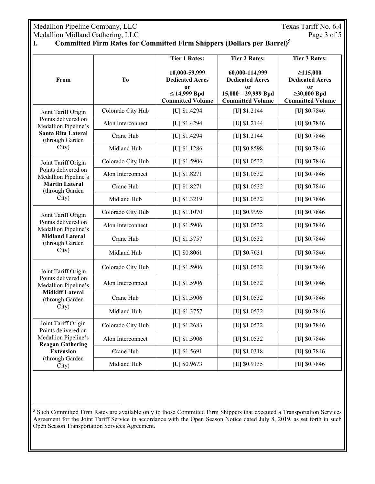Medallion Pipeline Company, LLC<br>
Medallion Midland Gathering, LLC<br>
Page 3 of 5 Medallion Midland Gathering, LLC

 $\overline{a}$ 

## **I. Committed Firm Rates for Committed Firm Shippers (Dollars per Barrel)**<sup>5</sup>

| From                                                                                                                                          | T <sub>o</sub>    | <b>Tier 1 Rates:</b>                                                                                     | <b>Tier 2 Rates:</b>                                                                               | <b>Tier 3 Rates:</b>                                                                                      |
|-----------------------------------------------------------------------------------------------------------------------------------------------|-------------------|----------------------------------------------------------------------------------------------------------|----------------------------------------------------------------------------------------------------|-----------------------------------------------------------------------------------------------------------|
|                                                                                                                                               |                   | 10,000-59,999<br><b>Dedicated Acres</b><br><sub>or</sub><br>$\leq$ 14,999 Bpd<br><b>Committed Volume</b> | 60,000-114,999<br><b>Dedicated Acres</b><br>or<br>$15,000 - 29,999$ Bpd<br><b>Committed Volume</b> | $\geq 115,000$<br><b>Dedicated Acres</b><br><sub>or</sub><br>$\geq 30,000$ Bpd<br><b>Committed Volume</b> |
| Joint Tariff Origin<br>Points delivered on<br>Medallion Pipeline's<br>Santa Rita Lateral<br>(through Garden<br>City)                          | Colorado City Hub | [U] \$1.4294                                                                                             | [U] \$1.2144                                                                                       | [U] \$0.7846                                                                                              |
|                                                                                                                                               | Alon Interconnect | [U] \$1.4294                                                                                             | [U] \$1.2144                                                                                       | [U] \$0.7846                                                                                              |
|                                                                                                                                               | Crane Hub         | [U] \$1.4294                                                                                             | [U] \$1.2144                                                                                       | [U] \$0.7846                                                                                              |
|                                                                                                                                               | Midland Hub       | [U] \$1.1286                                                                                             | [U] \$0.8598                                                                                       | [U] \$0.7846                                                                                              |
| Joint Tariff Origin<br>Points delivered on<br>Medallion Pipeline's<br><b>Martin Lateral</b><br>(through Garden                                | Colorado City Hub | [U] \$1.5906                                                                                             | [U] \$1.0532                                                                                       | [U] \$0.7846                                                                                              |
|                                                                                                                                               | Alon Interconnect | [U] \$1.8271                                                                                             | [U] \$1.0532                                                                                       | [U] \$0.7846                                                                                              |
|                                                                                                                                               | Crane Hub         | $[U]$ \$1.8271                                                                                           | [U] \$1.0532                                                                                       | [U] \$0.7846                                                                                              |
| City)                                                                                                                                         | Midland Hub       | [U] \$1.3219                                                                                             | [U] \$1.0532                                                                                       | [U] \$0.7846                                                                                              |
| Joint Tariff Origin                                                                                                                           | Colorado City Hub | [U] \$1.1070                                                                                             | [U] \$0.9995                                                                                       | [U] \$0.7846                                                                                              |
| Points delivered on<br>Medallion Pipeline's                                                                                                   | Alon Interconnect | [U] \$1.5906                                                                                             | [U] \$1.0532                                                                                       | [U] \$0.7846                                                                                              |
| <b>Midland Lateral</b><br>(through Garden                                                                                                     | Crane Hub         | [U] \$1.3757                                                                                             | [U] \$1.0532                                                                                       | [U] \$0.7846                                                                                              |
| City)                                                                                                                                         | Midland Hub       | $ U $ \$0.8061                                                                                           | $ U $ \$0.7631                                                                                     | [U] \$0.7846                                                                                              |
| Joint Tariff Origin<br>Points delivered on<br>Medallion Pipeline's<br><b>Midkiff Lateral</b><br>(through Garden<br>City)                      | Colorado City Hub | $[U]$ \$1.5906                                                                                           | [U] \$1.0532                                                                                       | [U] \$0.7846                                                                                              |
|                                                                                                                                               | Alon Interconnect | [U] \$1.5906                                                                                             | [U] \$1.0532                                                                                       | [U] \$0.7846                                                                                              |
|                                                                                                                                               | Crane Hub         | [U] \$1.5906                                                                                             | [U] \$1.0532                                                                                       | [U] \$0.7846                                                                                              |
|                                                                                                                                               | Midland Hub       | [U] \$1.3757                                                                                             | [U] \$1.0532                                                                                       | [U] \$0.7846                                                                                              |
| Joint Tariff Origin<br>Points delivered on<br>Medallion Pipeline's<br><b>Reagan Gathering</b><br><b>Extension</b><br>(through Garden<br>City) | Colorado City Hub | $ U $ \$1.2683                                                                                           | [U] \$1.0532                                                                                       | [U] \$0.7846                                                                                              |
|                                                                                                                                               | Alon Interconnect | [U] \$1.5906                                                                                             | [U] \$1.0532                                                                                       | [U] \$0.7846                                                                                              |
|                                                                                                                                               | Crane Hub         | $[U]$ \$1.5691                                                                                           | [U] \$1.0318                                                                                       | [U] \$0.7846                                                                                              |
|                                                                                                                                               | Midland Hub       | [U] \$0.9673                                                                                             | [U] \$0.9135                                                                                       | [U] \$0.7846                                                                                              |

<sup>&</sup>lt;sup>5</sup> Such Committed Firm Rates are available only to those Committed Firm Shippers that executed a Transportation Services Agreement for the Joint Tariff Service in accordance with the Open Season Notice dated July 8, 2019, as set forth in such Open Season Transportation Services Agreement.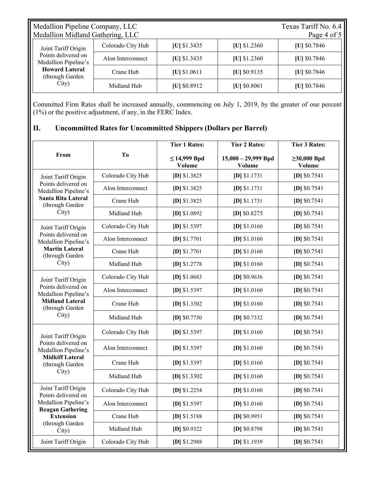| Medallion Pipeline Company, LLC<br>Medallion Midland Gathering, LLC                                                     |                   |                |                | Texas Tariff No. 6.4<br>Page 4 of 5 |
|-------------------------------------------------------------------------------------------------------------------------|-------------------|----------------|----------------|-------------------------------------|
| Joint Tariff Origin<br>Points delivered on<br>Medallion Pipeline's<br><b>Howard Lateral</b><br>(through Garden<br>City) | Colorado City Hub | $[U]$ \$1.3435 | $[U]$ \$1.2360 | [U] $$0.7846$                       |
|                                                                                                                         | Alon Interconnect | $[U]$ \$1.3435 | $ U $ \$1.2360 | $ U $ \$0.7846                      |
|                                                                                                                         | Crane Hub         | $[U]$ \$1.0611 | $ U $ \$0.9135 | [U] $$0.7846$                       |
|                                                                                                                         | Midland Hub       | $ U $ \$0.8912 | $ U $ \$0.8061 | $ U $ \$0.7846                      |

Committed Firm Rates shall be increased annually, commencing on July 1, 2019, by the greater of one percent (1%) or the positive adjustment, if any, in the FERC Index.

## **II. Uncommitted Rates for Uncommitted Shippers (Dollars per Barrel)**

| From                                                                                                                                          | T <sub>0</sub>    | <b>Tier 1 Rates:</b>               | <b>Tier 2 Rates:</b>                   | <b>Tier 3 Rates:</b>        |
|-----------------------------------------------------------------------------------------------------------------------------------------------|-------------------|------------------------------------|----------------------------------------|-----------------------------|
|                                                                                                                                               |                   | $\leq$ 14,999 Bpd<br><b>Volume</b> | $15,000 - 29,999$ Bpd<br><b>Volume</b> | $\geq 30,000$ Bpd<br>Volume |
| Joint Tariff Origin<br>Points delivered on<br>Medallion Pipeline's<br>Santa Rita Lateral<br>(through Garden                                   | Colorado City Hub | $[D]$ \$1.3825                     | $[D]$ \$1.1731                         | $[D]$ \$0.7541              |
|                                                                                                                                               | Alon Interconnect | $[D]$ \$1.3825                     | $[D]$ \$1.1731                         | $[D]$ \$0.7541              |
|                                                                                                                                               | Crane Hub         | $[D]$ \$1.3825                     | $[D]$ \$1.1731                         | $[D]$ \$0.7541              |
| City)                                                                                                                                         | Midland Hub       | $[D]$ \$1.0892                     | $[D]$ \$0.8275                         | $[D]$ \$0.7541              |
| Joint Tariff Origin                                                                                                                           | Colorado City Hub | $[D]$ \$1.5397                     | $[D]$ \$1.0160                         | $[D]$ \$0.7541              |
| Points delivered on<br>Medallion Pipeline's<br><b>Martin Lateral</b><br>(through Garden<br>City)                                              | Alon Interconnect | $[D]$ \$1.7701                     | [D] $$1.0160$                          | $[D]$ \$0.7541              |
|                                                                                                                                               | Crane Hub         | $[D]$ \$1.7701                     | $[D]$ \$1.0160                         | $[D]$ \$0.7541              |
|                                                                                                                                               | Midland Hub       | $[D]$ \$1.2778                     | $[D]$ \$1.0160                         | $[D]$ \$0.7541              |
| Joint Tariff Origin                                                                                                                           | Colorado City Hub | $[D]$ \$1.0683                     | $[D]$ \$0.9636                         | $[D]$ \$0.7541              |
| Points delivered on<br>Medallion Pipeline's<br><b>Midland Lateral</b><br>(through Garden<br>City)                                             | Alon Interconnect | $[D]$ \$1.5397                     | $[D]$ \$1.0160                         | [D] $$0.7541$               |
|                                                                                                                                               | Crane Hub         | $[D]$ \$1.3302                     | $[D]$ \$1.0160                         | $[D]$ \$0.7541              |
|                                                                                                                                               | Midland Hub       | $[D]$ \$0.7750                     | $[D]$ \$0.7332                         | $[D]$ \$0.7541              |
| Joint Tariff Origin<br>Points delivered on<br>Medallion Pipeline's<br><b>Midkiff Lateral</b><br>(through Garden<br>City)                      | Colorado City Hub | $[D]$ \$1.5397                     | $[D]$ \$1.0160                         | $[D]$ \$0.7541              |
|                                                                                                                                               | Alon Interconnect | $[D]$ \$1.5397                     | $[D]$ \$1.0160                         | $[D]$ \$0.7541              |
|                                                                                                                                               | Crane Hub         | $[D]$ \$1.5397                     | $[D]$ \$1.0160                         | $[D]$ \$0.7541              |
|                                                                                                                                               | Midland Hub       | $[D]$ \$1.3302                     | $[D]$ \$1.0160                         | $[D]$ \$0.7541              |
| Joint Tariff Origin<br>Points delivered on<br>Medallion Pipeline's<br><b>Reagan Gathering</b><br><b>Extension</b><br>(through Garden<br>City) | Colorado City Hub | $[D]$ \$1.2254                     | $[D]$ \$1.0160                         | $[D]$ \$0.7541              |
|                                                                                                                                               | Alon Interconnect | $[D]$ \$1.5397                     | $[D]$ \$1.0160                         | $[D]$ \$0.7541              |
|                                                                                                                                               | Crane Hub         | $[D]$ \$1.5188                     | $[D]$ \$0.9951                         | $[D]$ \$0.7541              |
|                                                                                                                                               | Midland Hub       | $[D]$ \$0.9322                     | $[D]$ \$0.8798                         | $[D]$ \$0.7541              |
| Joint Tariff Origin                                                                                                                           | Colorado City Hub | $[D]$ \$1.2988                     | [D] \$1.1939                           | $[D]$ \$0.7541              |